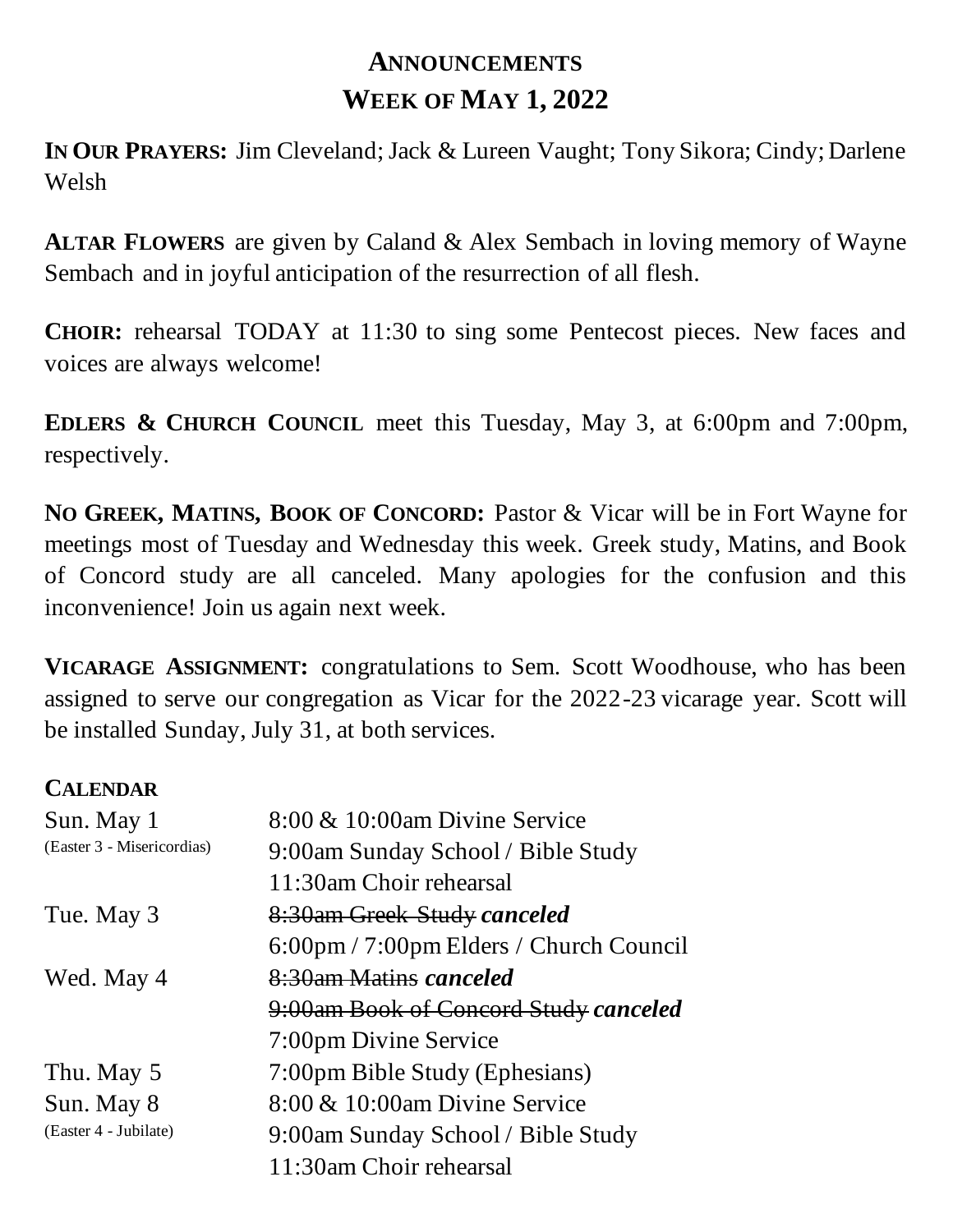## **ANNOUNCEMENTS WEEK OF MAY 1, 2022**

**IN OUR PRAYERS:** Jim Cleveland; Jack & Lureen Vaught; Tony Sikora; Cindy; Darlene Welsh

**ALTAR FLOWERS** are given by Caland & Alex Sembach in loving memory of Wayne Sembach and in joyful anticipation of the resurrection of all flesh.

**CHOIR:** rehearsal TODAY at 11:30 to sing some Pentecost pieces. New faces and voices are always welcome!

**EDLERS & CHURCH COUNCIL** meet this Tuesday, May 3, at 6:00pm and 7:00pm, respectively.

**NO GREEK, MATINS, BOOK OF CONCORD:** Pastor & Vicar will be in Fort Wayne for meetings most of Tuesday and Wednesday this week. Greek study, Matins, and Book of Concord study are all canceled. Many apologies for the confusion and this inconvenience! Join us again next week.

**VICARAGE ASSIGNMENT:** congratulations to Sem. Scott Woodhouse, who has been assigned to serve our congregation as Vicar for the 2022-23 vicarage year. Scott will be installed Sunday, July 31, at both services.

## **CALENDAR**

| Sun. May 1                 | $8:00 \& 10:00$ am Divine Service                 |
|----------------------------|---------------------------------------------------|
| (Easter 3 - Misericordias) | 9:00am Sunday School / Bible Study                |
|                            | 11:30am Choir rehearsal                           |
| Tue. May 3                 | 8:30am Greek Study canceled                       |
|                            | $6:00 \text{pm}$ / 7:00pm Elders / Church Council |
| Wed. May 4                 | 8:30am Matins canceled                            |
|                            | 9:00am Book of Concord Study canceled             |
|                            | 7:00pm Divine Service                             |
| Thu. May 5                 | 7:00pm Bible Study (Ephesians)                    |
| Sun. May 8                 | 8:00 & 10:00am Divine Service                     |
| (Easter 4 - Jubilate)      | 9:00am Sunday School / Bible Study                |
|                            | 11:30am Choir rehearsal                           |